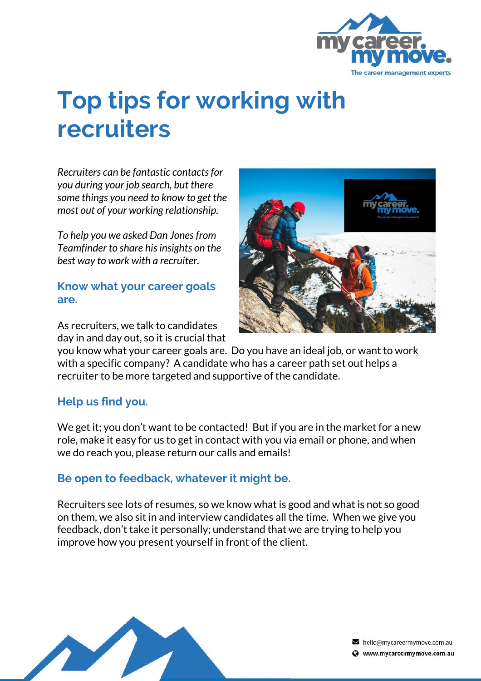

# **Top tips for working with recruiters**

*Recruiters can be fantastic contacts for you during your job search, but there some things you need to know to get the most out of your working relationship.* 

*To help you we asked Dan Jones from Teamfinder to share his insights on the best way to work with a recruiter.*

#### **Know what your career goals are.**

As recruiters, we talk to candidates day in and day out, so it is crucial that



you know what your career goals are. Do you have an ideal job, or want to work with a specific company? A candidate who has a career path set out helps a recruiter to be more targeted and supportive of the candidate.

## **Help us find you.**

We get it; you don't want to be contacted! But if you are in the market for a new role, make it easy for us to get in contact with you via email or phone, and when we do reach you, please return our calls and emails!

## **Be open to feedback, whatever it might be.**

Recruiters see lots of resumes, so we know what is good and what is not so good on them, we also sit in and interview candidates all the time. When we give you feedback, don't take it personally; understand that we are trying to help you improve how you present yourself in front of the client.



hello@mycareermymove.com.au Www.mycareermymove.com.au